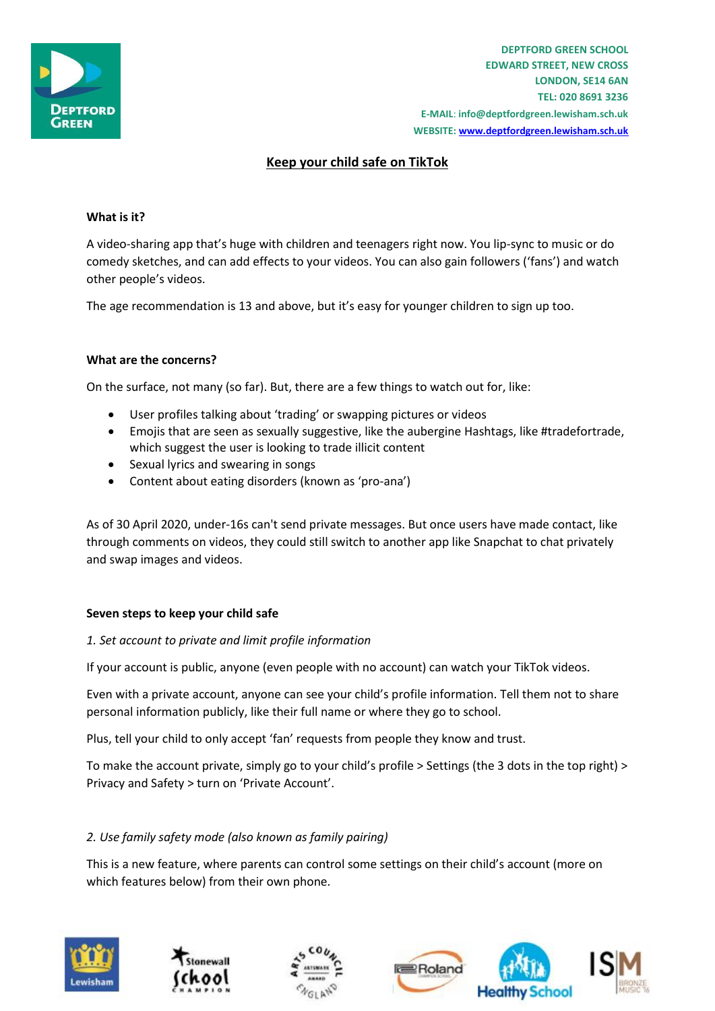

# **Keep your child safe on TikTok**

### **What is it?**

A video-sharing app that's huge with children and teenagers right now. You lip-sync to music or do comedy sketches, and can add effects to your videos. You can also gain followers ('fans') and watch other people's videos.

The age recommendation is 13 and above, but it's easy for younger children to sign up too.

### **What are the concerns?**

On the surface, not many (so far). But, there are a few things to watch out for, like:

- User profiles talking about 'trading' or swapping pictures or videos
- Emojis that are seen as sexually suggestive, like the aubergine Hashtags, like #tradefortrade, which suggest the user is looking to trade illicit content
- Sexual lyrics and swearing in songs
- Content about eating disorders (known as 'pro-ana')

As of 30 April 2020, under-16s can't send private messages. But once users have made contact, like through comments on videos, they could still switch to another app like Snapchat to chat privately and swap images and videos.

### **Seven steps to keep your child safe**

### *1. Set account to private and limit profile information*

If your account is public, anyone (even people with no account) can watch your TikTok videos.

Even with a private account, anyone can see your child's profile information. Tell them not to share personal information publicly, like their full name or where they go to school.

Plus, tell your child to only accept 'fan' requests from people they know and trust.

To make the account private, simply go to your child's profile > Settings (the 3 dots in the top right) > Privacy and Safety > turn on 'Private Account'.

# *2. Use family safety mode (also known as family pairing)*

This is a new feature, where parents can control some settings on their child's account (more on which features below) from their own phone.







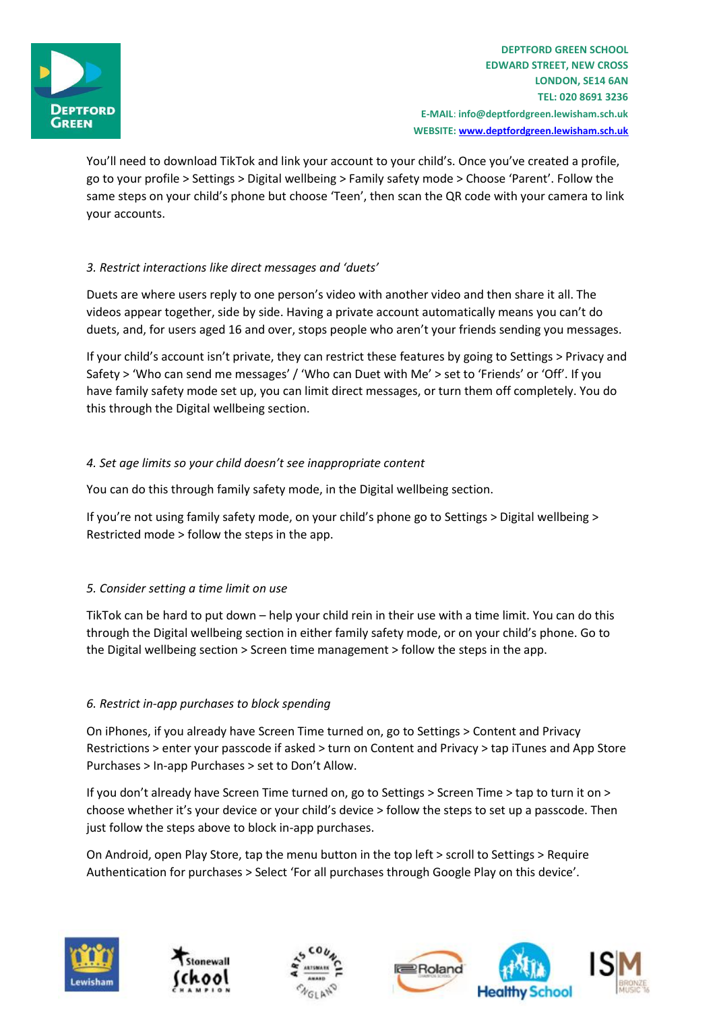

You'll need to download TikTok and link your account to your child's. Once you've created a profile, go to your profile > Settings > Digital wellbeing > Family safety mode > Choose 'Parent'. Follow the same steps on your child's phone but choose 'Teen', then scan the QR code with your camera to link your accounts.

# *3. Restrict interactions like direct messages and 'duets'*

Duets are where users reply to one person's video with another video and then share it all. The videos appear together, side by side. Having a private account automatically means you can't do duets, and, for users aged 16 and over, stops people who aren't your friends sending you messages.

If your child's account isn't private, they can restrict these features by going to Settings > Privacy and Safety > 'Who can send me messages' / 'Who can Duet with Me' > set to 'Friends' or 'Off'. If you have family safety mode set up, you can limit direct messages, or turn them off completely. You do this through the Digital wellbeing section.

# *4. Set age limits so your child doesn't see inappropriate content*

You can do this through family safety mode, in the Digital wellbeing section.

If you're not using family safety mode, on your child's phone go to Settings > Digital wellbeing > Restricted mode > follow the steps in the app.

# *5. Consider setting a time limit on use*

TikTok can be hard to put down – help your child rein in their use with a time limit. You can do this through the Digital wellbeing section in either family safety mode, or on your child's phone. Go to the Digital wellbeing section > Screen time management > follow the steps in the app.

# *6. Restrict in-app purchases to block spending*

On iPhones, if you already have Screen Time turned on, go to Settings > Content and Privacy Restrictions > enter your passcode if asked > turn on Content and Privacy > tap iTunes and App Store Purchases > In-app Purchases > set to Don't Allow.

If you don't already have Screen Time turned on, go to Settings > Screen Time > tap to turn it on > choose whether it's your device or your child's device > follow the steps to set up a passcode. Then just follow the steps above to block in-app purchases.

On Android, open Play Store, tap the menu button in the top left > scroll to Settings > Require Authentication for purchases > Select 'For all purchases through Google Play on this device'.